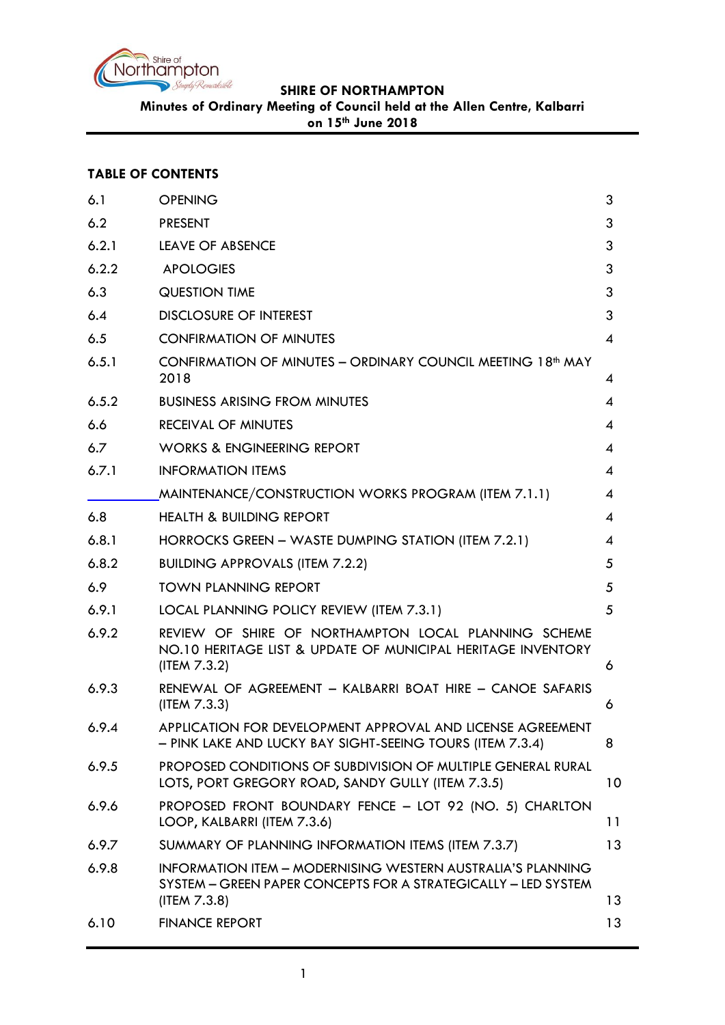

**Minutes of Ordinary Meeting of Council held at the Allen Centre, Kalbarri** 

**on 15th June 2018**

# **TABLE OF CONTENTS**

| 6.1   | <b>OPENING</b>                                                                                                                                       | 3              |
|-------|------------------------------------------------------------------------------------------------------------------------------------------------------|----------------|
| 6.2   | <b>PRESENT</b>                                                                                                                                       | 3              |
| 6.2.1 | <b>LEAVE OF ABSENCE</b>                                                                                                                              | 3              |
| 6.2.2 | <b>APOLOGIES</b>                                                                                                                                     | 3              |
| 6.3   | <b>QUESTION TIME</b>                                                                                                                                 | 3              |
| 6.4   | <b>DISCLOSURE OF INTEREST</b>                                                                                                                        | 3              |
| 6.5   | <b>CONFIRMATION OF MINUTES</b>                                                                                                                       | 4              |
| 6.5.1 | CONFIRMATION OF MINUTES - ORDINARY COUNCIL MEETING 18 <sup>th</sup> MAY<br>2018                                                                      | 4              |
| 6.5.2 | <b>BUSINESS ARISING FROM MINUTES</b>                                                                                                                 | 4              |
| 6.6   | <b>RECEIVAL OF MINUTES</b>                                                                                                                           | $\overline{A}$ |
| 6.7   | <b>WORKS &amp; ENGINEERING REPORT</b>                                                                                                                | 4              |
| 6.7.1 | <b>INFORMATION ITEMS</b>                                                                                                                             | 4              |
|       | MAINTENANCE/CONSTRUCTION WORKS PROGRAM (ITEM 7.1.1)                                                                                                  | 4              |
| 6.8   | <b>HEALTH &amp; BUILDING REPORT</b>                                                                                                                  | 4              |
| 6.8.1 | HORROCKS GREEN - WASTE DUMPING STATION (ITEM 7.2.1)                                                                                                  | 4              |
| 6.8.2 | <b>BUILDING APPROVALS (ITEM 7.2.2)</b>                                                                                                               | 5              |
| 6.9   | <b>TOWN PLANNING REPORT</b>                                                                                                                          | 5              |
| 6.9.1 | LOCAL PLANNING POLICY REVIEW (ITEM 7.3.1)                                                                                                            | 5              |
| 6.9.2 | REVIEW OF SHIRE OF NORTHAMPTON LOCAL PLANNING SCHEME<br>NO.10 HERITAGE LIST & UPDATE OF MUNICIPAL HERITAGE INVENTORY<br>(ITEM 7.3.2)                 | 6              |
| 6.9.3 | RENEWAL OF AGREEMENT - KALBARRI BOAT HIRE - CANOE SAFARIS<br>(ITER 7.3.3)                                                                            | 6              |
| 6.9.4 | APPLICATION FOR DEVELOPMENT APPROVAL AND LICENSE AGREEMENT<br>- PINK LAKE AND LUCKY BAY SIGHT-SEEING TOURS (ITEM 7.3.4)                              | 8              |
| 6.9.5 | PROPOSED CONDITIONS OF SUBDIVISION OF MULTIPLE GENERAL RURAL<br>LOTS, PORT GREGORY ROAD, SANDY GULLY (ITEM 7.3.5)                                    | 10             |
| 6.9.6 | PROPOSED FRONT BOUNDARY FENCE - LOT 92 (NO. 5) CHARLTON<br>LOOP, KALBARRI (ITEM 7.3.6)                                                               | 11             |
| 6.9.7 | SUMMARY OF PLANNING INFORMATION ITEMS (ITEM 7.3.7)                                                                                                   | 13             |
| 6.9.8 | <b>INFORMATION ITEM - MODERNISING WESTERN AUSTRALIA'S PLANNING</b><br>SYSTEM - GREEN PAPER CONCEPTS FOR A STRATEGICALLY - LED SYSTEM<br>(ITEM 7.3.8) | 13             |
| 6.10  | <b>FINANCE REPORT</b>                                                                                                                                | 13             |
|       |                                                                                                                                                      |                |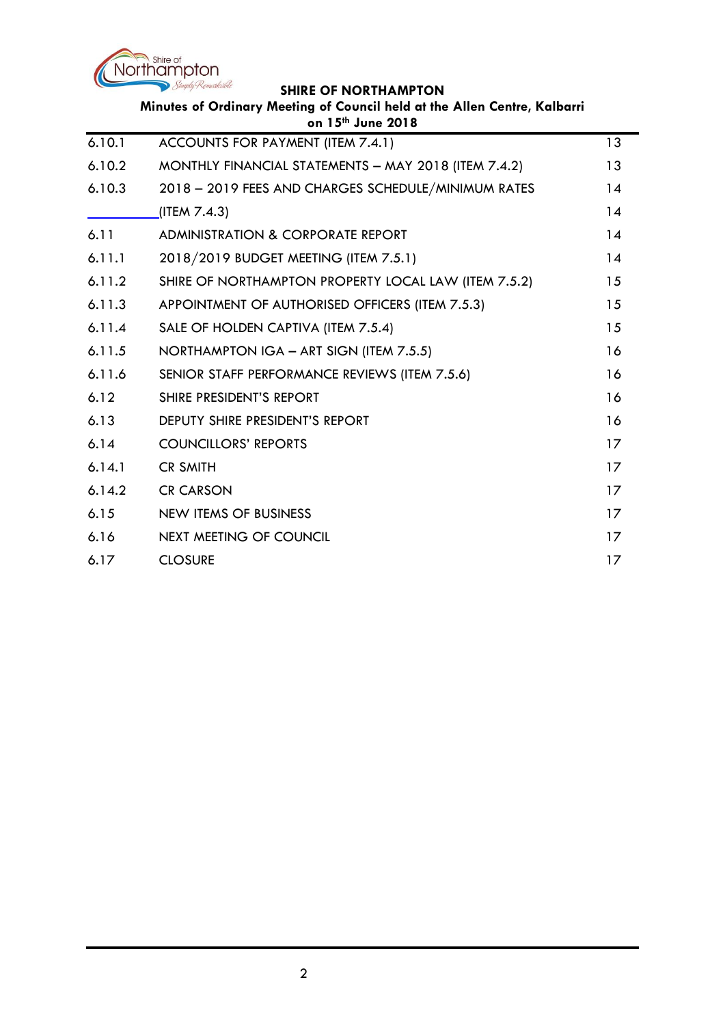

| Minutes of Ordinary Meeting of Council held at the Allen Centre, Kalbarri<br>on 15th June 2018 |                                                      |    |
|------------------------------------------------------------------------------------------------|------------------------------------------------------|----|
| 6.10.1                                                                                         | ACCOUNTS FOR PAYMENT (ITEM 7.4.1)                    | 13 |
| 6.10.2                                                                                         | MONTHLY FINANCIAL STATEMENTS - MAY 2018 (ITEM 7.4.2) | 13 |
| 6.10.3                                                                                         | 2018 - 2019 FEES AND CHARGES SCHEDULE/MINIMUM RATES  | 14 |
|                                                                                                | (ITEM 7.4.3)                                         | 14 |
| 6.11                                                                                           | <b>ADMINISTRATION &amp; CORPORATE REPORT</b>         | 14 |
| 6.11.1                                                                                         | 2018/2019 BUDGET MEETING (ITEM 7.5.1)                | 14 |
| 6.11.2                                                                                         | SHIRE OF NORTHAMPTON PROPERTY LOCAL LAW (ITEM 7.5.2) | 15 |
| 6.11.3                                                                                         | APPOINTMENT OF AUTHORISED OFFICERS (ITEM 7.5.3)      | 15 |
| 6.11.4                                                                                         | SALE OF HOLDEN CAPTIVA (ITEM 7.5.4)                  | 15 |
| 6.11.5                                                                                         | NORTHAMPTON IGA - ART SIGN (ITEM 7.5.5)              | 16 |
| 6.11.6                                                                                         | SENIOR STAFF PERFORMANCE REVIEWS (ITEM 7.5.6)        | 16 |
| 6.12                                                                                           | SHIRE PRESIDENT'S REPORT                             | 16 |
| 6.13                                                                                           | <b>DEPUTY SHIRE PRESIDENT'S REPORT</b>               | 16 |
| 6.14                                                                                           | <b>COUNCILLORS' REPORTS</b>                          | 17 |
| 6.14.1                                                                                         | <b>CR SMITH</b>                                      | 17 |
| 6.14.2                                                                                         | <b>CR CARSON</b>                                     | 17 |
| 6.15                                                                                           | <b>NEW ITEMS OF BUSINESS</b>                         | 17 |
| 6.16                                                                                           | <b>NEXT MEETING OF COUNCIL</b>                       | 17 |
| 6.17                                                                                           | <b>CLOSURE</b>                                       | 17 |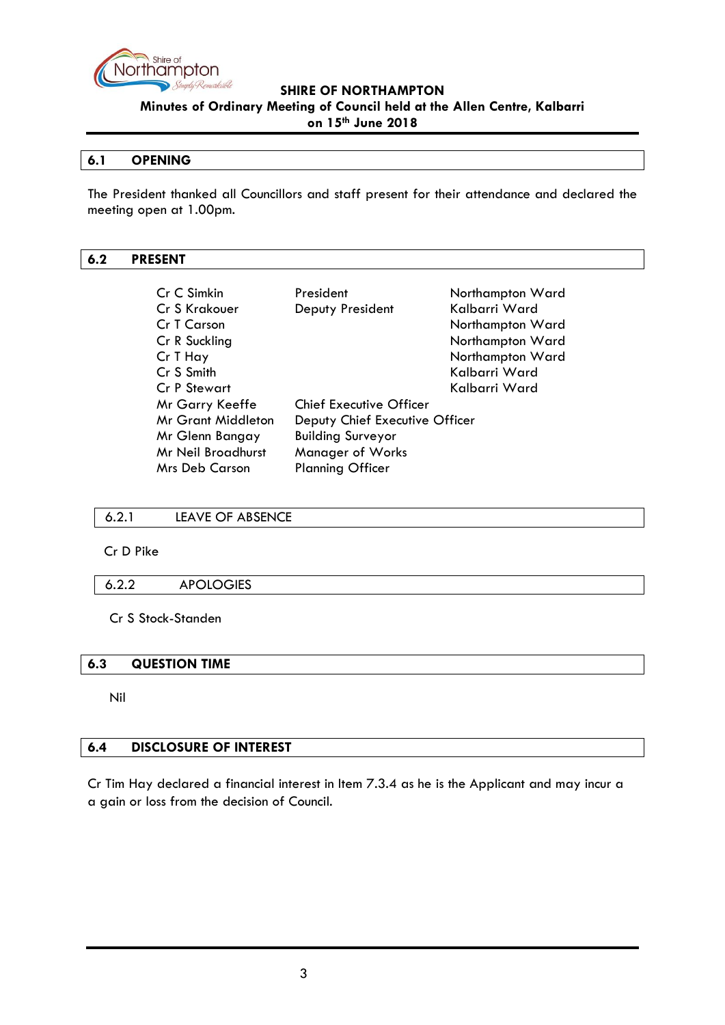

**on 15th June 2018**

### <span id="page-2-0"></span>**6.1 OPENING**

The President thanked all Councillors and staff present for their attendance and declared the meeting open at 1.00pm.

### <span id="page-2-1"></span>**6.2 PRESENT**

| Cr C Simkin               | President                      | Northampton Ward |
|---------------------------|--------------------------------|------------------|
| Cr S Krakouer             | Deputy President               | Kalbarri Ward    |
| Cr T Carson               |                                | Northampton Ward |
| Cr R Suckling             |                                | Northampton Ward |
| Cr T Hay                  |                                | Northampton Ward |
| Cr S Smith                |                                | Kalbarri Ward    |
| <b>Cr P Stewart</b>       |                                | Kalbarri Ward    |
| Mr Garry Keeffe           | <b>Chief Executive Officer</b> |                  |
| <b>Mr Grant Middleton</b> | Deputy Chief Executive Officer |                  |
| Mr Glenn Bangay           | <b>Building Surveyor</b>       |                  |
| Mr Neil Broadhurst        | <b>Manager of Works</b>        |                  |
| <b>Mrs Deb Carson</b>     | <b>Planning Officer</b>        |                  |

### <span id="page-2-2"></span>6.2.1 LEAVE OF ABSENCE

Cr D Pike

### <span id="page-2-3"></span>6.2.2 APOLOGIES

Cr S Stock-Standen

### <span id="page-2-4"></span>**6.3 QUESTION TIME**

Nil

# <span id="page-2-5"></span>**6.4 DISCLOSURE OF INTEREST**

Cr Tim Hay declared a financial interest in Item 7.3.4 as he is the Applicant and may incur a a gain or loss from the decision of Council.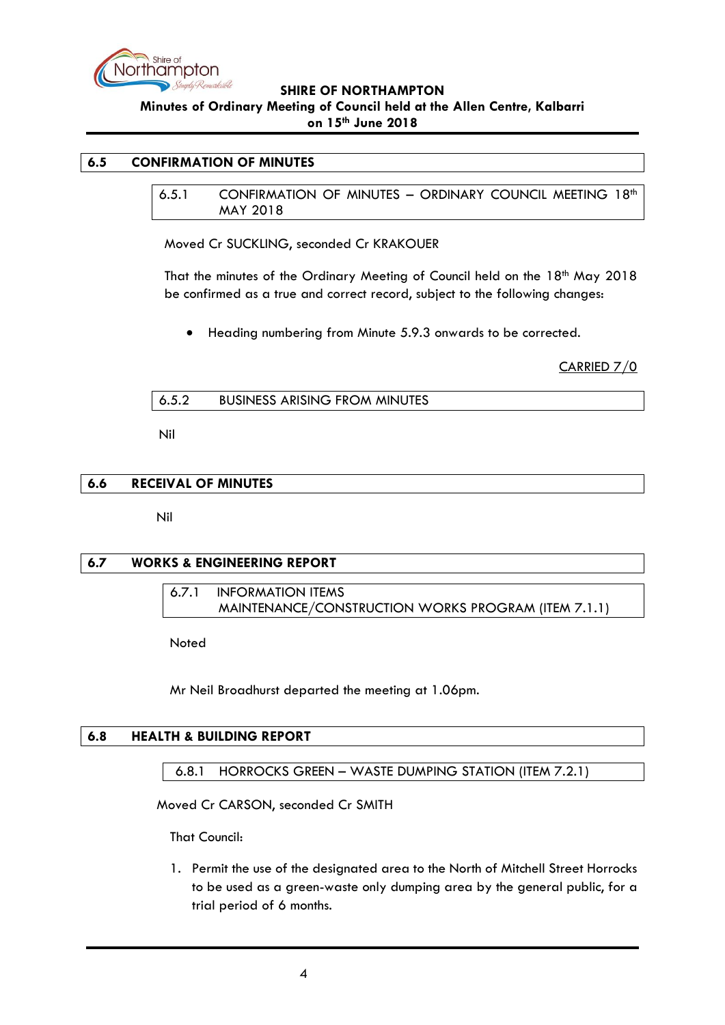

### <span id="page-3-1"></span><span id="page-3-0"></span>**6.5 CONFIRMATION OF MINUTES**

6.5.1 CONFIRMATION OF MINUTES - ORDINARY COUNCIL MEETING 18<sup>th</sup> MAY 2018

Moved Cr SUCKLING, seconded Cr KRAKOUER

That the minutes of the Ordinary Meeting of Council held on the 18<sup>th</sup> May 2018 be confirmed as a true and correct record, subject to the following changes:

• Heading numbering from Minute 5.9.3 onwards to be corrected.

CARRIED 7/0

<span id="page-3-2"></span>

| 6.5.2 | <b>BUSINESS ARISING FROM MINUTES</b> |  |
|-------|--------------------------------------|--|
|       |                                      |  |

Nil

### <span id="page-3-3"></span>**6.6 RECEIVAL OF MINUTES**

Nil

### <span id="page-3-5"></span><span id="page-3-4"></span>**6.7 WORKS & ENGINEERING REPORT**

<span id="page-3-6"></span>6.7.1 INFORMATION ITEMS MAINTENANCE/CONSTRUCTION WORKS PROGRAM (ITEM 7.1.1)

Noted

Mr Neil Broadhurst departed the meeting at 1.06pm.

### <span id="page-3-7"></span>**6.8 HEALTH & BUILDING REPORT**

<span id="page-3-8"></span>6.8.1 HORROCKS GREEN – WASTE DUMPING STATION (ITEM 7.2.1)

Moved Cr CARSON, seconded Cr SMITH

That Council:

1. Permit the use of the designated area to the North of Mitchell Street Horrocks to be used as a green-waste only dumping area by the general public, for a trial period of 6 months.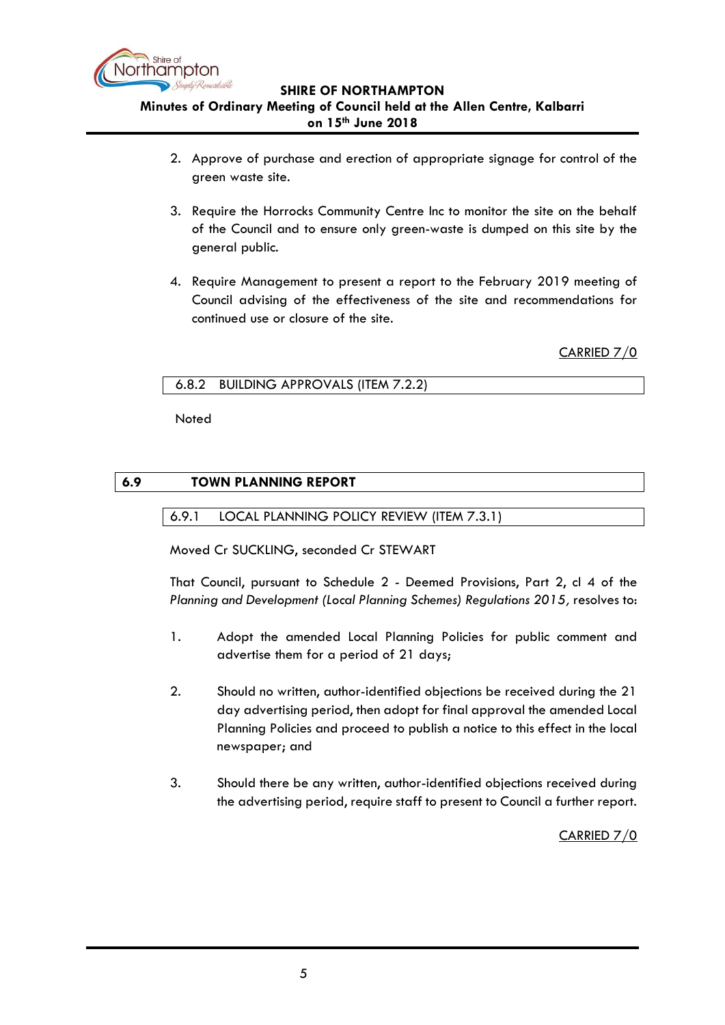

- 2. Approve of purchase and erection of appropriate signage for control of the green waste site.
- 3. Require the Horrocks Community Centre Inc to monitor the site on the behalf of the Council and to ensure only green-waste is dumped on this site by the general public.
- 4. Require Management to present a report to the February 2019 meeting of Council advising of the effectiveness of the site and recommendations for continued use or closure of the site.

CARRIED 7/0

### <span id="page-4-0"></span>6.8.2 BUILDING APPROVALS (ITEM 7.2.2)

Noted

# <span id="page-4-2"></span><span id="page-4-1"></span>**6.9 TOWN PLANNING REPORT**

# 6.9.1 LOCAL PLANNING POLICY REVIEW (ITEM 7.3.1)

Moved Cr SUCKLING, seconded Cr STEWART

That Council, pursuant to Schedule 2 - Deemed Provisions, Part 2, cl 4 of the *Planning and Development (Local Planning Schemes) Regulations 2015,* resolves to:

- 1. Adopt the amended Local Planning Policies for public comment and advertise them for a period of 21 days;
- 2. Should no written, author-identified objections be received during the 21 day advertising period, then adopt for final approval the amended Local Planning Policies and proceed to publish a notice to this effect in the local newspaper; and
- 3. Should there be any written, author-identified objections received during the advertising period, require staff to present to Council a further report.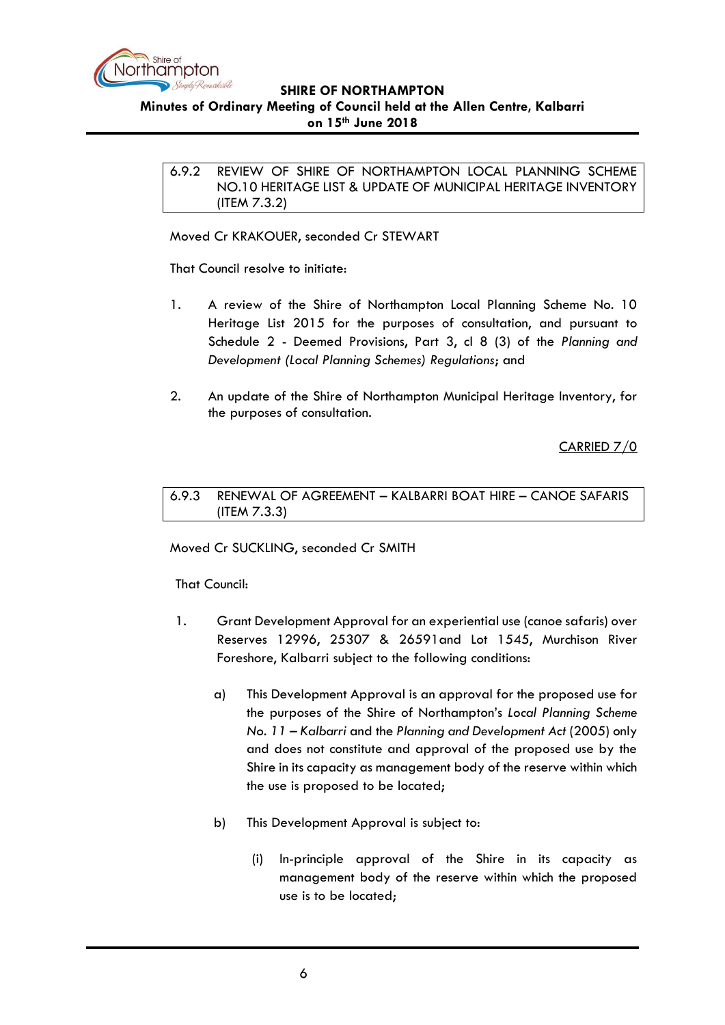

<span id="page-5-0"></span>6.9.2 REVIEW OF SHIRE OF NORTHAMPTON LOCAL PLANNING SCHEME NO.10 HERITAGE LIST & UPDATE OF MUNICIPAL HERITAGE INVENTORY (ITEM 7.3.2)

Moved Cr KRAKOUER, seconded Cr STEWART

That Council resolve to initiate:

- 1. A review of the Shire of Northampton Local Planning Scheme No. 10 Heritage List 2015 for the purposes of consultation, and pursuant to Schedule 2 - Deemed Provisions, Part 3, cl 8 (3) of the *Planning and Development (Local Planning Schemes) Regulations*; and
- 2. An update of the Shire of Northampton Municipal Heritage Inventory, for the purposes of consultation.

CARRIED 7/0

<span id="page-5-1"></span>6.9.3 RENEWAL OF AGREEMENT – KALBARRI BOAT HIRE – CANOE SAFARIS (ITEM 7.3.3)

Moved Cr SUCKLING, seconded Cr SMITH

That Council:

- 1. Grant Development Approval for an experiential use (canoe safaris) over Reserves 12996, 25307 & 26591and Lot 1545, Murchison River Foreshore, Kalbarri subject to the following conditions:
	- a) This Development Approval is an approval for the proposed use for the purposes of the Shire of Northampton's *Local Planning Scheme No. 11 – Kalbarri* and the *Planning and Development Act* (2005) only and does not constitute and approval of the proposed use by the Shire in its capacity as management body of the reserve within which the use is proposed to be located;
	- b) This Development Approval is subject to:
		- (i) In-principle approval of the Shire in its capacity as management body of the reserve within which the proposed use is to be located;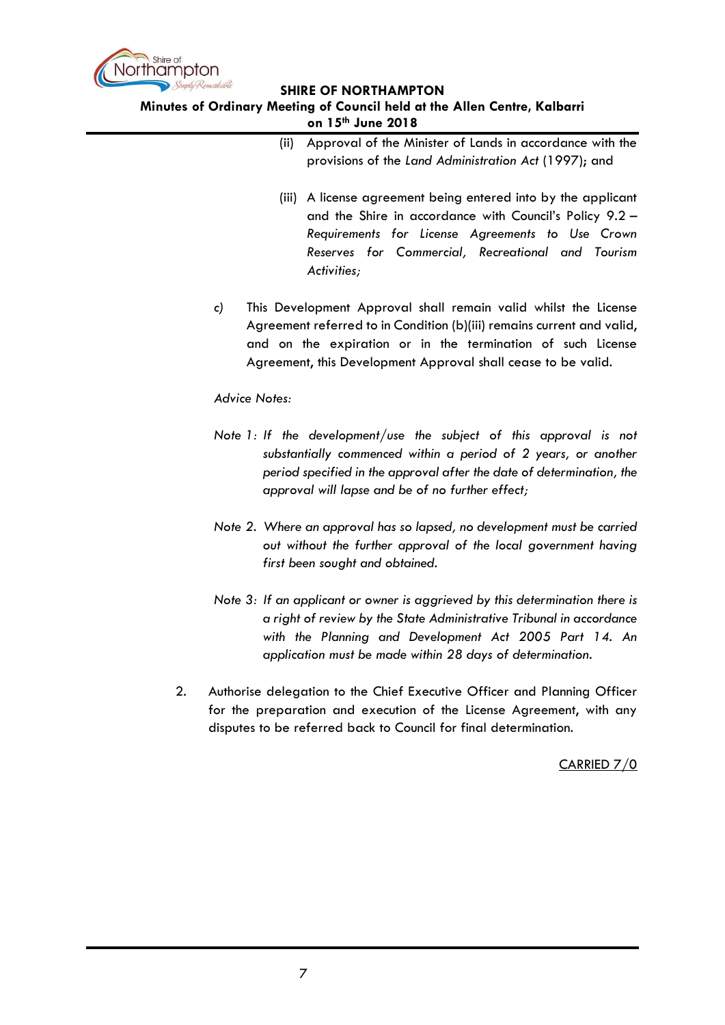

#### **Minutes of Ordinary Meeting of Council held at the Allen Centre, Kalbarri on 15th June 2018**

| (ii) Approval of the Minister of Lands in accordance with the |
|---------------------------------------------------------------|
| provisions of the Land Administration Act (1997); and         |

- (iii) A license agreement being entered into by the applicant and the Shire in accordance with Council's Policy 9.2 – *Requirements for License Agreements to Use Crown Reserves for Commercial, Recreational and Tourism Activities;*
- *c)* This Development Approval shall remain valid whilst the License Agreement referred to in Condition (b)(iii) remains current and valid, and on the expiration or in the termination of such License Agreement, this Development Approval shall cease to be valid.

# *Advice Notes:*

- *Note 1: If the development/use the subject of this approval is not substantially commenced within a period of 2 years, or another period specified in the approval after the date of determination, the approval will lapse and be of no further effect;*
- *Note 2. Where an approval has so lapsed, no development must be carried out without the further approval of the local government having first been sought and obtained.*
- *Note 3: If an applicant or owner is aggrieved by this determination there is a right of review by the State Administrative Tribunal in accordance with the Planning and Development Act 2005 Part 14. An application must be made within 28 days of determination.*
- 2. Authorise delegation to the Chief Executive Officer and Planning Officer for the preparation and execution of the License Agreement, with any disputes to be referred back to Council for final determination.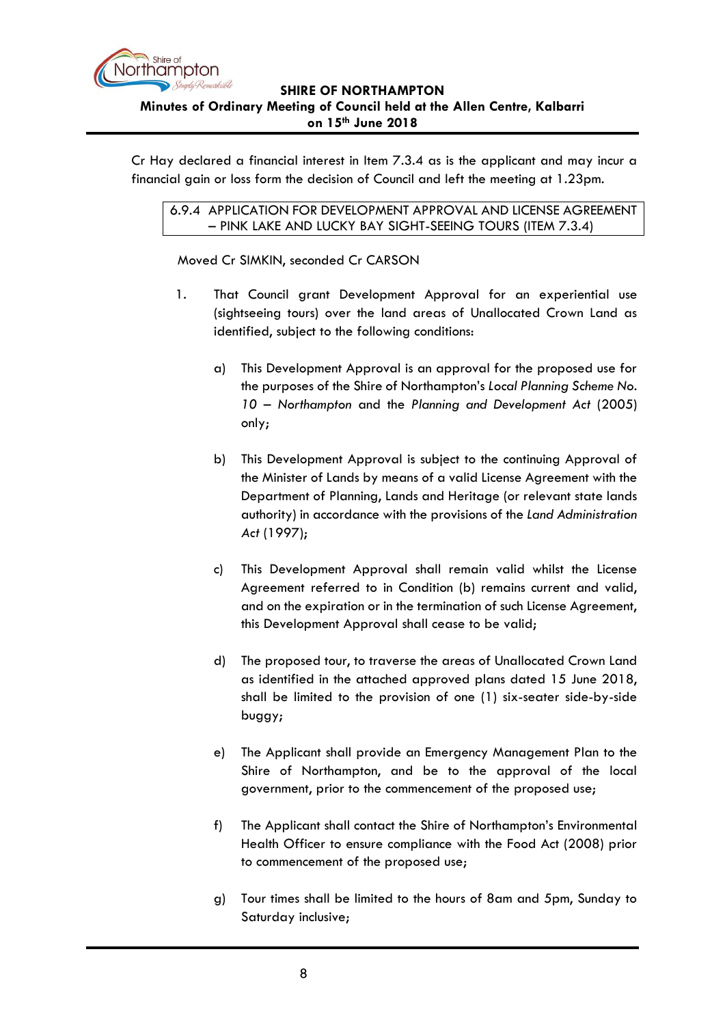

<span id="page-7-0"></span>Cr Hay declared a financial interest in Item 7.3.4 as is the applicant and may incur a financial gain or loss form the decision of Council and left the meeting at 1.23pm.

6.9.4 APPLICATION FOR DEVELOPMENT APPROVAL AND LICENSE AGREEMENT – PINK LAKE AND LUCKY BAY SIGHT-SEEING TOURS (ITEM 7.3.4)

Moved Cr SIMKIN, seconded Cr CARSON

- 1. That Council grant Development Approval for an experiential use (sightseeing tours) over the land areas of Unallocated Crown Land as identified, subject to the following conditions:
	- a) This Development Approval is an approval for the proposed use for the purposes of the Shire of Northampton's *Local Planning Scheme No. 10 – Northampton* and the *Planning and Development Act* (2005) only;
	- b) This Development Approval is subject to the continuing Approval of the Minister of Lands by means of a valid License Agreement with the Department of Planning, Lands and Heritage (or relevant state lands authority) in accordance with the provisions of the *Land Administration Act* (1997);
	- c)This Development Approval shall remain valid whilst the License Agreement referred to in Condition (b) remains current and valid, and on the expiration or in the termination of such License Agreement, this Development Approval shall cease to be valid;
	- d) The proposed tour, to traverse the areas of Unallocated Crown Land as identified in the attached approved plans dated 15 June 2018, shall be limited to the provision of one (1) six-seater side-by-side buggy;
	- e) The Applicant shall provide an Emergency Management Plan to the Shire of Northampton, and be to the approval of the local government, prior to the commencement of the proposed use;
	- f) The Applicant shall contact the Shire of Northampton's Environmental Health Officer to ensure compliance with the Food Act (2008) prior to commencement of the proposed use;
	- g) Tour times shall be limited to the hours of 8am and 5pm, Sunday to Saturday inclusive;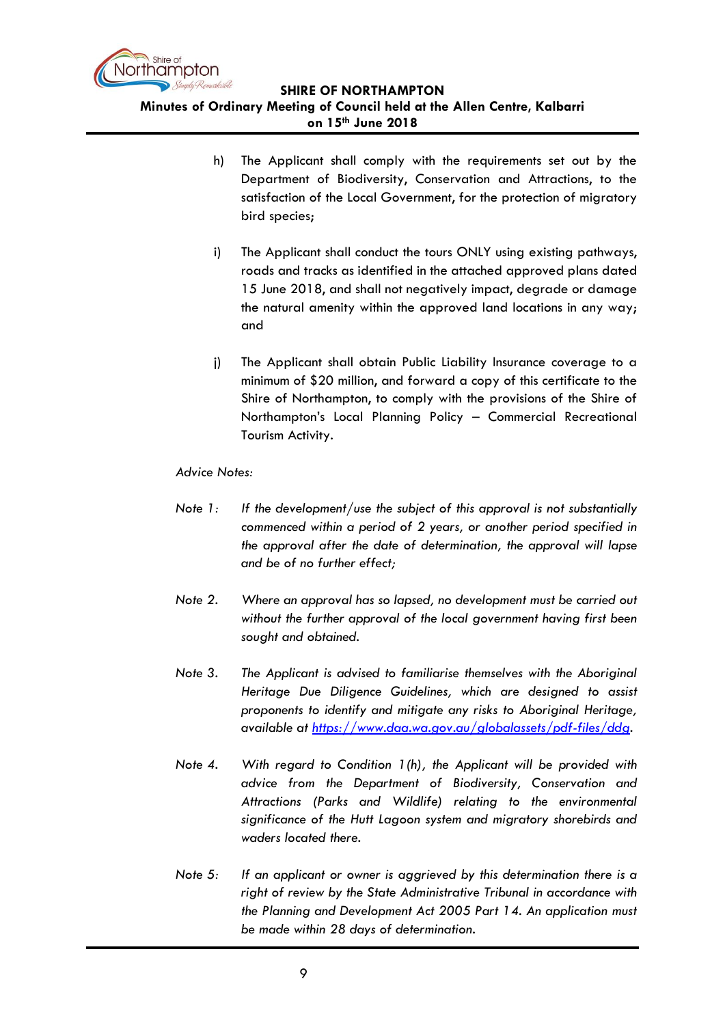

- h) The Applicant shall comply with the requirements set out by the Department of Biodiversity, Conservation and Attractions, to the satisfaction of the Local Government, for the protection of migratory bird species;
- i) The Applicant shall conduct the tours ONLY using existing pathways, roads and tracks as identified in the attached approved plans dated 15 June 2018, and shall not negatively impact, degrade or damage the natural amenity within the approved land locations in any way; and
- j) The Applicant shall obtain Public Liability Insurance coverage to a minimum of \$20 million, and forward a copy of this certificate to the Shire of Northampton, to comply with the provisions of the Shire of Northampton's Local Planning Policy – Commercial Recreational Tourism Activity.

### *Advice Notes:*

- *Note 1: If the development/use the subject of this approval is not substantially commenced within a period of 2 years, or another period specified in the approval after the date of determination, the approval will lapse and be of no further effect;*
- *Note 2. Where an approval has so lapsed, no development must be carried out without the further approval of the local government having first been sought and obtained.*
- *Note 3. The Applicant is advised to familiarise themselves with the Aboriginal Heritage Due Diligence Guidelines, which are designed to assist proponents to identify and mitigate any risks to Aboriginal Heritage, available at [https://www.daa.wa.gov.au/globalassets/pdf-files/ddg.](https://www.daa.wa.gov.au/globalassets/pdf-files/ddg)*
- *Note 4. With regard to Condition 1(h), the Applicant will be provided with advice from the Department of Biodiversity, Conservation and Attractions (Parks and Wildlife) relating to the environmental significance of the Hutt Lagoon system and migratory shorebirds and waders located there.*
- *Note 5: If an applicant or owner is aggrieved by this determination there is a right of review by the State Administrative Tribunal in accordance with the Planning and Development Act 2005 Part 14. An application must be made within 28 days of determination.*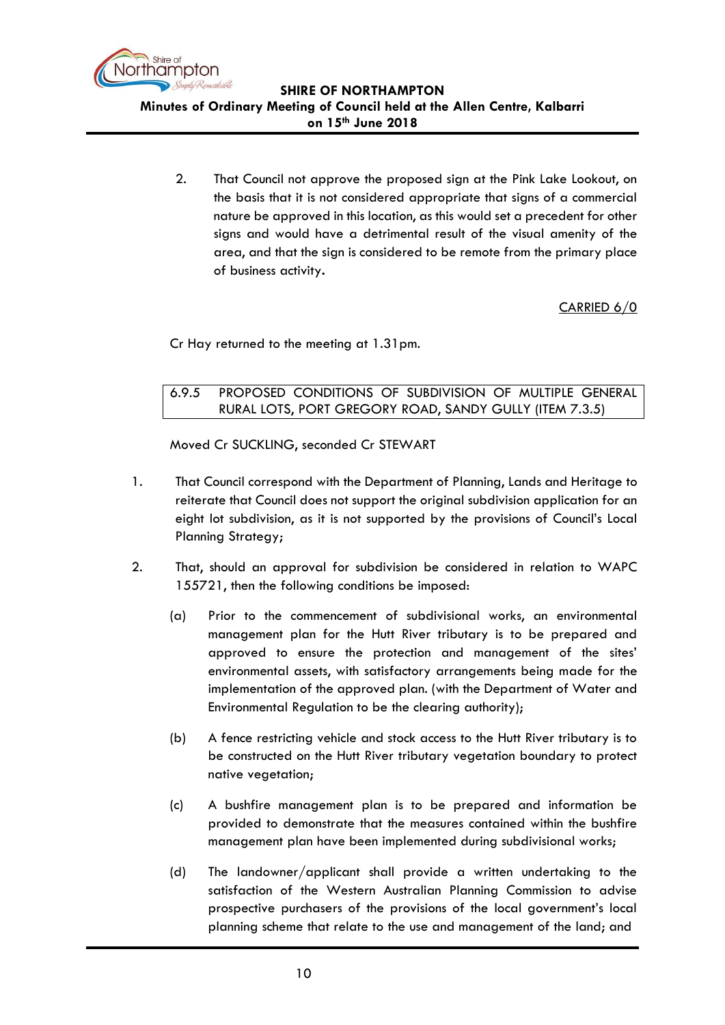

2. That Council not approve the proposed sign at the Pink Lake Lookout, on the basis that it is not considered appropriate that signs of a commercial nature be approved in this location, as this would set a precedent for other signs and would have a detrimental result of the visual amenity of the area, and that the sign is considered to be remote from the primary place of business activity**.**

CARRIED 6/0

Cr Hay returned to the meeting at 1.31pm.

<span id="page-9-0"></span>6.9.5 PROPOSED CONDITIONS OF SUBDIVISION OF MULTIPLE GENERAL RURAL LOTS, PORT GREGORY ROAD, SANDY GULLY (ITEM 7.3.5)

Moved Cr SUCKLING, seconded Cr STEWART

- 1. That Council correspond with the Department of Planning, Lands and Heritage to reiterate that Council does not support the original subdivision application for an eight lot subdivision, as it is not supported by the provisions of Council's Local Planning Strategy;
- 2. That, should an approval for subdivision be considered in relation to WAPC 155721, then the following conditions be imposed:
	- (a) Prior to the commencement of subdivisional works, an environmental management plan for the Hutt River tributary is to be prepared and approved to ensure the protection and management of the sites' environmental assets, with satisfactory arrangements being made for the implementation of the approved plan. (with the Department of Water and Environmental Regulation to be the clearing authority);
	- (b) A fence restricting vehicle and stock access to the Hutt River tributary is to be constructed on the Hutt River tributary vegetation boundary to protect native vegetation;
	- (c) A bushfire management plan is to be prepared and information be provided to demonstrate that the measures contained within the bushfire management plan have been implemented during subdivisional works;
	- (d) The landowner/applicant shall provide a written undertaking to the satisfaction of the Western Australian Planning Commission to advise prospective purchasers of the provisions of the local government's local planning scheme that relate to the use and management of the land; and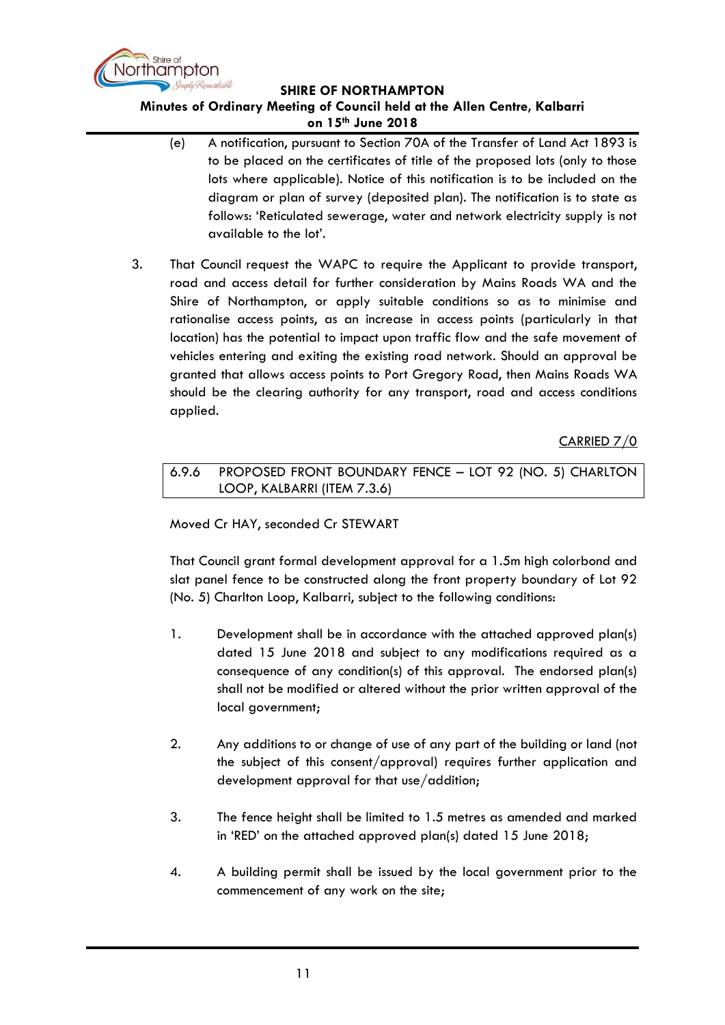

# **Minutes of Ordinary Meeting of Council held at the Allen Centre, Kalbarri**

**on 15th June 2018**

- (e) A notification, pursuant to Section 70A of the Transfer of Land Act 1893 is to be placed on the certificates of title of the proposed lots (only to those lots where applicable). Notice of this notification is to be included on the diagram or plan of survey (deposited plan). The notification is to state as follows: 'Reticulated sewerage, water and network electricity supply is not available to the lot'.
- 3. That Council request the WAPC to require the Applicant to provide transport, road and access detail for further consideration by Mains Roads WA and the Shire of Northampton, or apply suitable conditions so as to minimise and rationalise access points, as an increase in access points (particularly in that location) has the potential to impact upon traffic flow and the safe movement of vehicles entering and exiting the existing road network. Should an approval be granted that allows access points to Port Gregory Road, then Mains Roads WA should be the clearing authority for any transport, road and access conditions applied.

CARRIED 7/0

<span id="page-10-0"></span>6.9.6 PROPOSED FRONT BOUNDARY FENCE – LOT 92 (NO. 5) CHARLTON LOOP, KALBARRI (ITEM 7.3.6)

# Moved Cr HAY, seconded Cr STEWART

That Council grant formal development approval for a 1.5m high colorbond and slat panel fence to be constructed along the front property boundary of Lot 92 (No. 5) Charlton Loop, Kalbarri, subject to the following conditions:

- 1. Development shall be in accordance with the attached approved plan(s) dated 15 June 2018 and subject to any modifications required as a consequence of any condition(s) of this approval. The endorsed plan(s) shall not be modified or altered without the prior written approval of the local government;
- 2. Any additions to or change of use of any part of the building or land (not the subject of this consent/approval) requires further application and development approval for that use/addition;
- 3. The fence height shall be limited to 1.5 metres as amended and marked in 'RED' on the attached approved plan(s) dated 15 June 2018;
- 4. A building permit shall be issued by the local government prior to the commencement of any work on the site;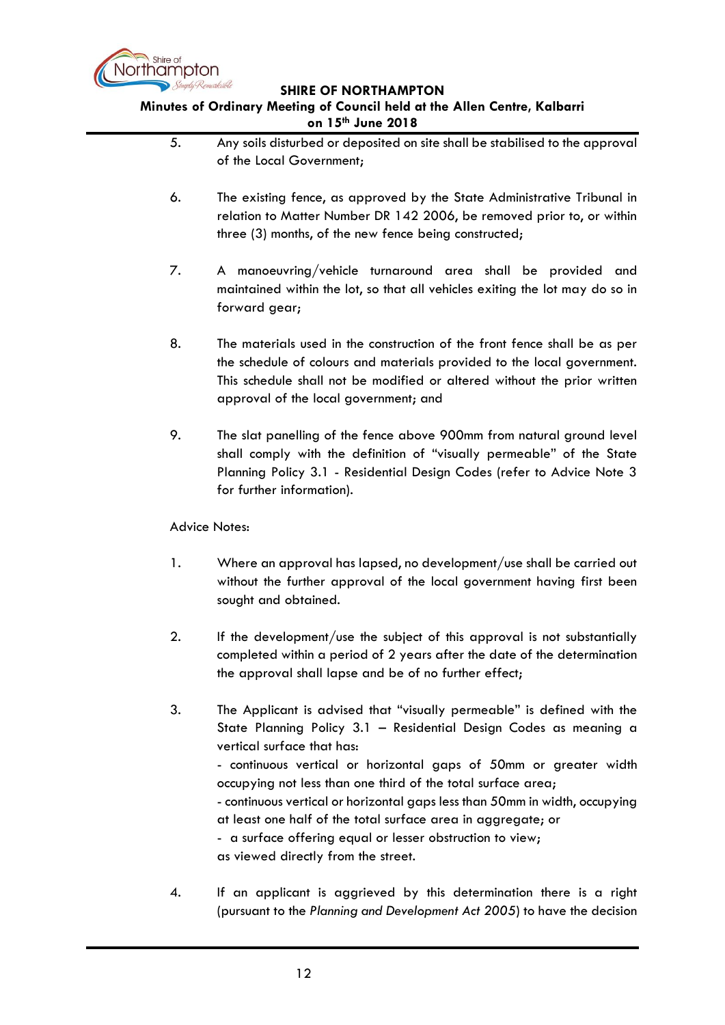

# **Minutes of Ordinary Meeting of Council held at the Allen Centre, Kalbarri on 15th June 2018**

|    | on 15 "June ZUI 8                                                                                                                                                                                                                                                                                                                                                                                                                                                                                                                                                 |
|----|-------------------------------------------------------------------------------------------------------------------------------------------------------------------------------------------------------------------------------------------------------------------------------------------------------------------------------------------------------------------------------------------------------------------------------------------------------------------------------------------------------------------------------------------------------------------|
| 5. | Any soils disturbed or deposited on site shall be stabilised to the approval<br>of the Local Government;                                                                                                                                                                                                                                                                                                                                                                                                                                                          |
| 6. | The existing fence, as approved by the State Administrative Tribunal in<br>relation to Matter Number DR 142 2006, be removed prior to, or within<br>three (3) months, of the new fence being constructed;                                                                                                                                                                                                                                                                                                                                                         |
| 7. | A manoeuvring/vehicle turnaround area shall be provided<br>and<br>maintained within the lot, so that all vehicles exiting the lot may do so in<br>forward gear;                                                                                                                                                                                                                                                                                                                                                                                                   |
| 8. | The materials used in the construction of the front fence shall be as per<br>the schedule of colours and materials provided to the local government.<br>This schedule shall not be modified or altered without the prior written<br>approval of the local government; and                                                                                                                                                                                                                                                                                         |
| 9. | The slat panelling of the fence above 900mm from natural ground level<br>shall comply with the definition of "visually permeable" of the State<br>Planning Policy 3.1 - Residential Design Codes (refer to Advice Note 3<br>for further information).                                                                                                                                                                                                                                                                                                             |
|    | <b>Advice Notes:</b>                                                                                                                                                                                                                                                                                                                                                                                                                                                                                                                                              |
| 1. | Where an approval has lapsed, no development/use shall be carried out<br>without the further approval of the local government having first been<br>sought and obtained.                                                                                                                                                                                                                                                                                                                                                                                           |
| 2. | If the development/use the subject of this approval is not substantially<br>completed within a period of 2 years after the date of the determination<br>the approval shall lapse and be of no further effect;                                                                                                                                                                                                                                                                                                                                                     |
| 3. | The Applicant is advised that "visually permeable" is defined with the<br>State Planning Policy 3.1 - Residential Design Codes as meaning a<br>vertical surface that has:<br>- continuous vertical or horizontal gaps of 50mm or greater width<br>occupying not less than one third of the total surface area;<br>- continuous vertical or horizontal gaps less than 50mm in width, occupying<br>at least one half of the total surface area in aggregate; or<br>- a surface offering equal or lesser obstruction to view;<br>as viewed directly from the street. |

4. If an applicant is aggrieved by this determination there is a right (pursuant to the *Planning and Development Act 2005*) to have the decision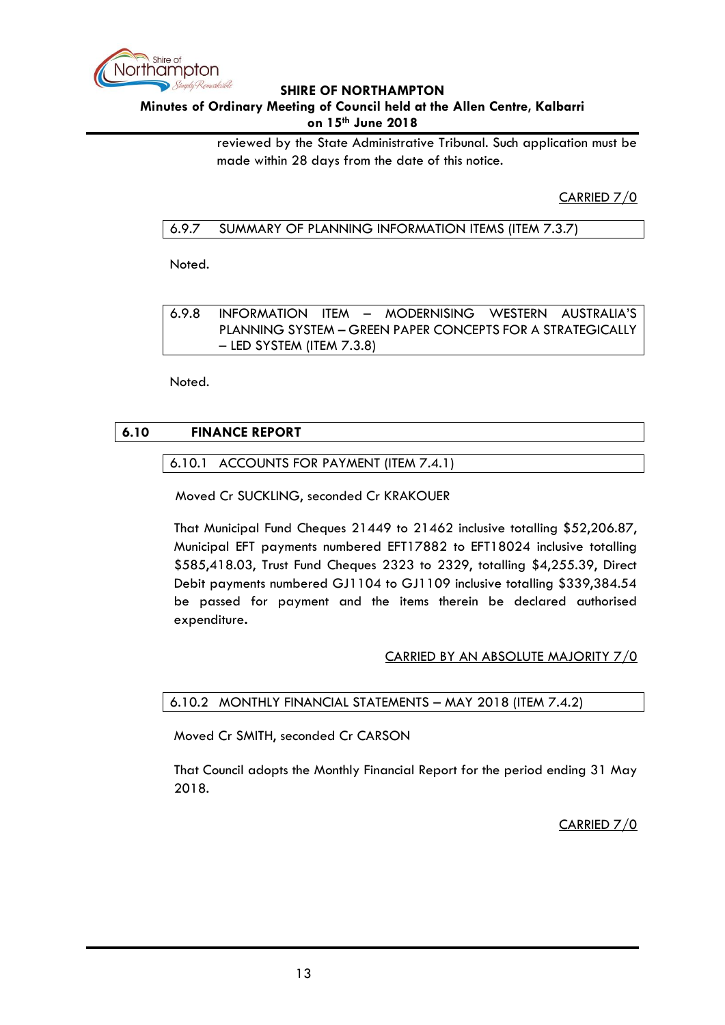

### **Minutes of Ordinary Meeting of Council held at the Allen Centre, Kalbarri on 15th June 2018**

reviewed by the State Administrative Tribunal. Such application must be made within 28 days from the date of this notice.

CARRIED 7/0

# <span id="page-12-0"></span>6.9.7 SUMMARY OF PLANNING INFORMATION ITEMS (ITEM 7.3.7)

Noted.

<span id="page-12-1"></span>6.9.8 INFORMATION ITEM – MODERNISING WESTERN AUSTRALIA'S PLANNING SYSTEM – GREEN PAPER CONCEPTS FOR A STRATEGICALLY – LED SYSTEM (ITEM 7.3.8)

Noted.

# <span id="page-12-3"></span><span id="page-12-2"></span>**6.10 FINANCE REPORT**

# 6.10.1 ACCOUNTS FOR PAYMENT (ITEM 7.4.1)

Moved Cr SUCKLING, seconded Cr KRAKOUER

That Municipal Fund Cheques 21449 to 21462 inclusive totalling \$52,206.87, Municipal EFT payments numbered EFT17882 to EFT18024 inclusive totalling \$585,418.03, Trust Fund Cheques 2323 to 2329, totalling \$4,255.39, Direct Debit payments numbered GJ1104 to GJ1109 inclusive totalling \$339,384.54 be passed for payment and the items therein be declared authorised expenditure**.**

# CARRIED BY AN ABSOLUTE MAJORITY 7/0

<span id="page-12-4"></span>6.10.2 MONTHLY FINANCIAL STATEMENTS – MAY 2018 (ITEM 7.4.2)

Moved Cr SMITH, seconded Cr CARSON

That Council adopts the Monthly Financial Report for the period ending 31 May 2018.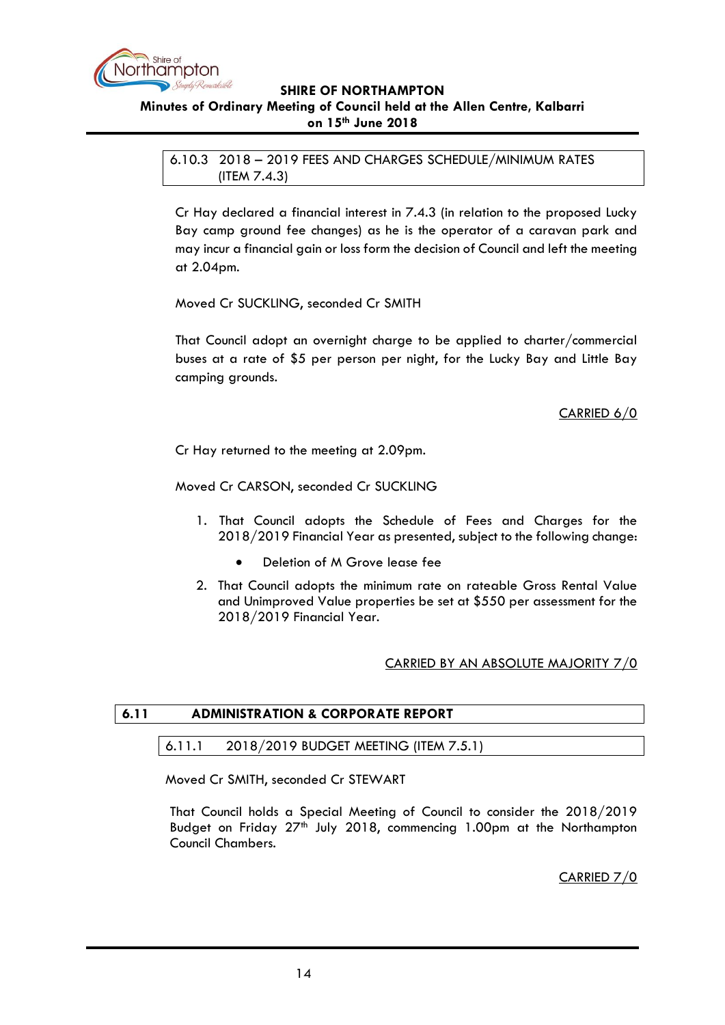

<span id="page-13-1"></span><span id="page-13-0"></span>6.10.3 2018 – 2019 FEES AND CHARGES SCHEDULE/MINIMUM RATES (ITEM 7.4.3)

Cr Hay declared a financial interest in 7.4.3 (in relation to the proposed Lucky Bay camp ground fee changes) as he is the operator of a caravan park and may incur a financial gain or loss form the decision of Council and left the meeting at 2.04pm.

Moved Cr SUCKLING, seconded Cr SMITH

That Council adopt an overnight charge to be applied to charter/commercial buses at a rate of \$5 per person per night, for the Lucky Bay and Little Bay camping grounds.

# CARRIED 6/0

Cr Hay returned to the meeting at 2.09pm.

Moved Cr CARSON, seconded Cr SUCKLING

- 1. That Council adopts the Schedule of Fees and Charges for the 2018/2019 Financial Year as presented, subject to the following change:
	- Deletion of M Grove lease fee
- 2. That Council adopts the minimum rate on rateable Gross Rental Value and Unimproved Value properties be set at \$550 per assessment for the 2018/2019 Financial Year.

### CARRIED BY AN ABSOLUTE MAJORITY 7/0

### <span id="page-13-3"></span><span id="page-13-2"></span>**6.11 ADMINISTRATION & CORPORATE REPORT**

### 6.11.1 2018/2019 BUDGET MEETING (ITEM 7.5.1)

Moved Cr SMITH, seconded Cr STEWART

That Council holds a Special Meeting of Council to consider the 2018/2019 Budget on Friday 27<sup>th</sup> July 2018, commencing 1.00pm at the Northampton Council Chambers.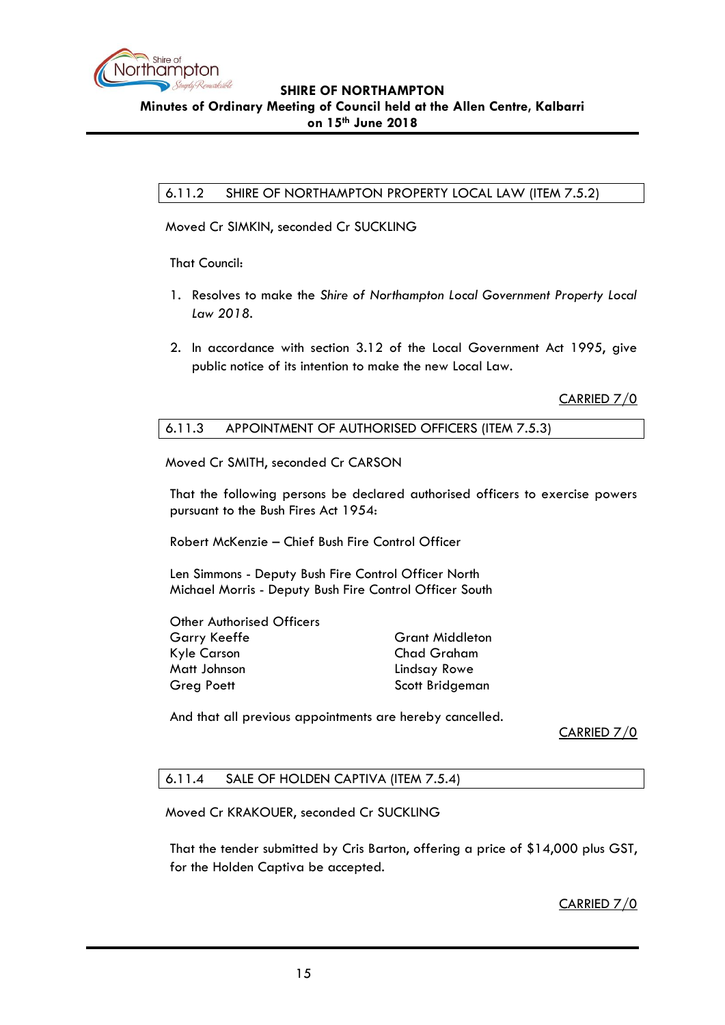

# <span id="page-14-0"></span>6.11.2 SHIRE OF NORTHAMPTON PROPERTY LOCAL LAW (ITEM 7.5.2)

Moved Cr SIMKIN, seconded Cr SUCKLING

That Council:

- 1. Resolves to make the *Shire of Northampton Local Government Property Local Law 2018.*
- 2. In accordance with section 3.12 of the Local Government Act 1995, give public notice of its intention to make the new Local Law.

CARRIED 7/0

### <span id="page-14-1"></span>6.11.3 APPOINTMENT OF AUTHORISED OFFICERS (ITEM 7.5.3)

Moved Cr SMITH, seconded Cr CARSON

That the following persons be declared authorised officers to exercise powers pursuant to the Bush Fires Act 1954:

Robert McKenzie – Chief Bush Fire Control Officer

Len Simmons - Deputy Bush Fire Control Officer North Michael Morris - Deputy Bush Fire Control Officer South

| Other Authorised Officers |                        |
|---------------------------|------------------------|
| Garry Keeffe              | <b>Grant Middleton</b> |
| Kyle Carson               | <b>Chad Graham</b>     |
| Matt Johnson              | Lindsay Rowe           |
| Greg Poett                | Scott Bridgeman        |
|                           |                        |

And that all previous appointments are hereby cancelled.

CARRIED 7/0

### <span id="page-14-2"></span>6.11.4 SALE OF HOLDEN CAPTIVA (ITEM 7.5.4)

Moved Cr KRAKOUER, seconded Cr SUCKLING

That the tender submitted by Cris Barton, offering a price of \$14,000 plus GST, for the Holden Captiva be accepted.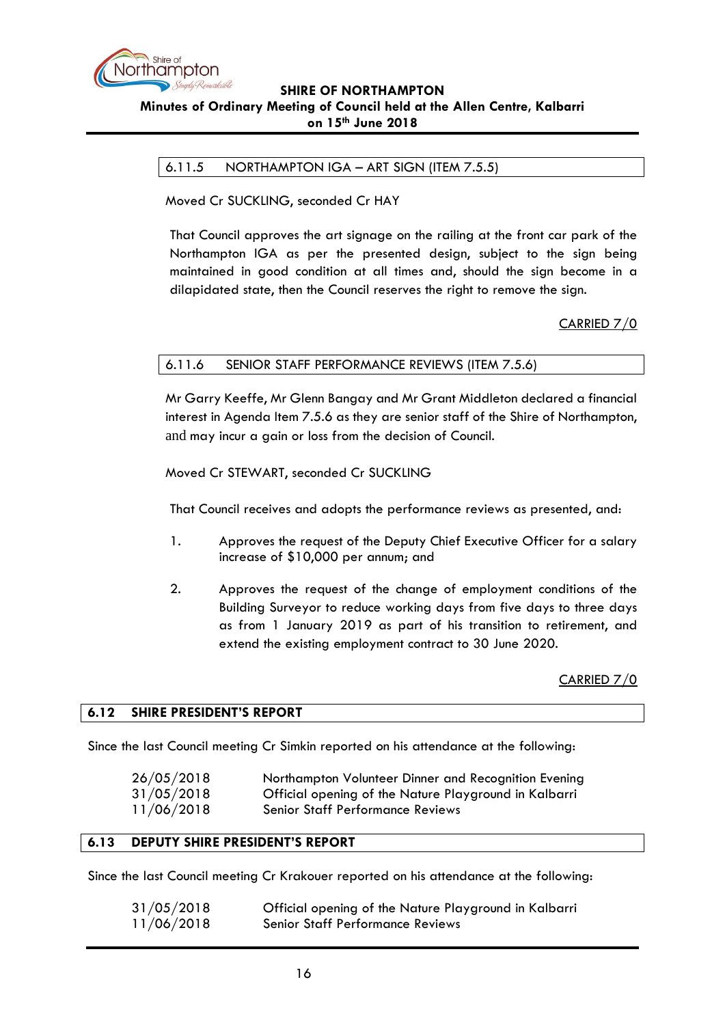

# <span id="page-15-0"></span>6.11.5 NORTHAMPTON IGA – ART SIGN (ITEM 7.5.5)

Moved Cr SUCKLING, seconded Cr HAY

That Council approves the art signage on the railing at the front car park of the Northampton IGA as per the presented design, subject to the sign being maintained in good condition at all times and, should the sign become in a dilapidated state, then the Council reserves the right to remove the sign.

CARRIED 7/0

### <span id="page-15-1"></span>6.11.6 SENIOR STAFF PERFORMANCE REVIEWS (ITEM 7.5.6)

Mr Garry Keeffe, Mr Glenn Bangay and Mr Grant Middleton declared a financial interest in Agenda Item 7.5.6 as they are senior staff of the Shire of Northampton, and may incur a gain or loss from the decision of Council.

Moved Cr STEWART, seconded Cr SUCKLING

That Council receives and adopts the performance reviews as presented, and:

- 1. Approves the request of the Deputy Chief Executive Officer for a salary increase of \$10,000 per annum; and
- 2. Approves the request of the change of employment conditions of the Building Surveyor to reduce working days from five days to three days as from 1 January 2019 as part of his transition to retirement, and extend the existing employment contract to 30 June 2020.

CARRIED 7/0

### <span id="page-15-2"></span>**6.12 SHIRE PRESIDENT'S REPORT**

Since the last Council meeting Cr Simkin reported on his attendance at the following:

| 26/05/2018 | Northampton Volunteer Dinner and Recognition Evening  |
|------------|-------------------------------------------------------|
| 31/05/2018 | Official opening of the Nature Playground in Kalbarri |
| 11/06/2018 | <b>Senior Staff Performance Reviews</b>               |

### <span id="page-15-3"></span>**6.13 DEPUTY SHIRE PRESIDENT'S REPORT**

Since the last Council meeting Cr Krakouer reported on his attendance at the following:

| 31/05/2018 | Official opening of the Nature Playground in Kalbarri |
|------------|-------------------------------------------------------|
| 11/06/2018 | <b>Senior Staff Performance Reviews</b>               |